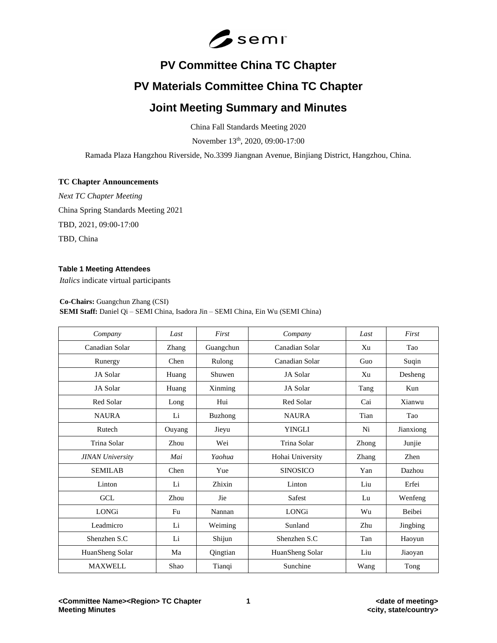

# **PV Committee China TC Chapter**

# **PV Materials Committee China TC Chapter**

# **Joint Meeting Summary and Minutes**

China Fall Standards Meeting 2020

November 13th, 2020, 09:00-17:00

Ramada Plaza Hangzhou Riverside, No.3399 Jiangnan Avenue, Binjiang District, Hangzhou, China.

## **TC Chapter Announcements**

*Next TC Chapter Meeting* China Spring Standards Meeting 2021 TBD, 2021, 09:00-17:00 TBD, China

## **Table 1 Meeting Attendees**

*Italics* indicate virtual participants

#### **Co-Chairs:** Guangchun Zhang (CSI)

# **SEMI Staff:** Daniel Qi – SEMI China, Isadora Jin – SEMI China, Ein Wu (SEMI China)

| Company                 | Last   | First          | Company          | Last  | First     |
|-------------------------|--------|----------------|------------------|-------|-----------|
| Canadian Solar          | Zhang  | Guangchun      | Canadian Solar   | Xu    | Tao       |
| Runergy                 | Chen   | Rulong         | Canadian Solar   | Guo   | Suqin     |
| JA Solar                | Huang  | Shuwen         | JA Solar         | Xu    | Desheng   |
| JA Solar                | Huang  | Xinming        | JA Solar         | Tang  | Kun       |
| Red Solar               | Long   | Hui            | Red Solar        | Cai   | Xianwu    |
| <b>NAURA</b>            | Li     | <b>Buzhong</b> | <b>NAURA</b>     | Tian  | Tao       |
| Rutech                  | Ouyang | Jieyu          | <b>YINGLI</b>    | Ni    | Jianxiong |
| Trina Solar             | Zhou   | Wei            | Trina Solar      | Zhong | Junjie    |
| <b>JINAN University</b> | Mai    | Yaohua         | Hohai University | Zhang | Zhen      |
| <b>SEMILAB</b>          | Chen   | Yue            | <b>SINOSICO</b>  | Yan   | Dazhou    |
| Linton                  | Li     | Zhixin         | Linton           | Liu   | Erfei     |
| <b>GCL</b>              | Zhou   | Jie            | <b>Safest</b>    | Lu    | Wenfeng   |
| <b>LONGi</b>            | Fu     | Nannan         | <b>LONGi</b>     | Wu    | Beibei    |
| Leadmicro               | Li     | Weiming        | Sunland          | Zhu   | Jingbing  |
| Shenzhen S.C            | Li     | Shijun         | Shenzhen S.C     | Tan   | Haoyun    |
| HuanSheng Solar         | Ma     | Qingtian       | HuanSheng Solar  | Liu   | Jiaoyan   |
| <b>MAXWELL</b>          | Shao   | Tianqi         | Sunchine         | Wang  | Tong      |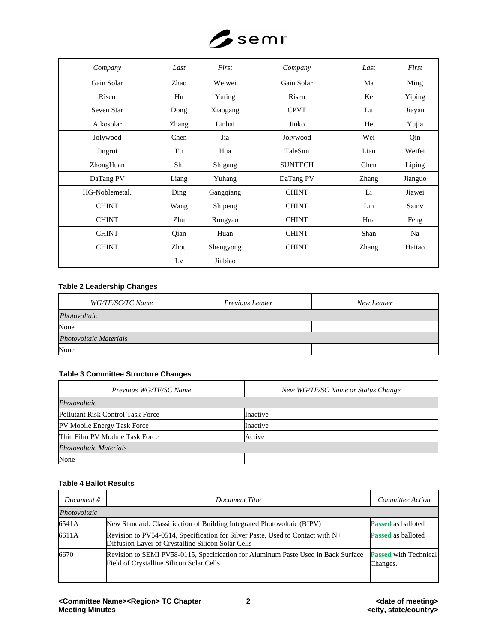

| Company        | Last  | First     | Company        | Last  | First   |
|----------------|-------|-----------|----------------|-------|---------|
| Gain Solar     | Zhao  | Weiwei    | Gain Solar     | Ma    | Ming    |
| Risen          | Hu    | Yuting    | Risen          | Ke    | Yiping  |
| Seven Star     | Dong  | Xiaogang  | <b>CPVT</b>    | Lu    | Jiayan  |
| Aikosolar      | Zhang | Linhai    | Jinko          | He    | Yujia   |
| Jolywood       | Chen  | Jia       | Jolywood       | Wei   | Qin     |
| Jingrui        | Fu    | Hua       | TaleSun        | Lian  | Weifei  |
| ZhongHuan      | Shi   | Shigang   | <b>SUNTECH</b> | Chen  | Liping  |
| DaTang PV      | Liang | Yuhang    | DaTang PV      | Zhang | Jianguo |
| HG-Noblemetal. | Ding  | Gangqiang | <b>CHINT</b>   | Li    | Jiawei  |
| <b>CHINT</b>   | Wang  | Shipeng   | <b>CHINT</b>   | Lin   | Sainv   |
| <b>CHINT</b>   | Zhu   | Rongyao   | <b>CHINT</b>   | Hua   | Feng    |
| <b>CHINT</b>   | Qian  | Huan      | <b>CHINT</b>   | Shan  | Na      |
| <b>CHINT</b>   | Zhou  | Shengyong | <b>CHINT</b>   | Zhang | Haitao  |
|                | Lv    | Jinbiao   |                |       |         |

# **Table 2 Leadership Changes**

| WG/TF/SC/TC Name              | Previous Leader | New Leader |  |
|-------------------------------|-----------------|------------|--|
| Photovoltaic                  |                 |            |  |
| None                          |                 |            |  |
| <b>Photovoltaic Materials</b> |                 |            |  |
| None                          |                 |            |  |

## **Table 3 Committee Structure Changes**

| Previous WG/TF/SC Name            | New WG/TF/SC Name or Status Change |
|-----------------------------------|------------------------------------|
| Photovoltaic                      |                                    |
| Pollutant Risk Control Task Force | Inactive                           |
| PV Mobile Energy Task Force       | Inactive                           |
| Thin Film PV Module Task Force    | Active                             |
| Photovoltaic Materials            |                                    |
| None                              |                                    |

# **Table 4 Ballot Results**

| Document $#$ | Document Title                                                                                                                       | Committee Action                         |
|--------------|--------------------------------------------------------------------------------------------------------------------------------------|------------------------------------------|
| Photovoltaic |                                                                                                                                      |                                          |
| 6541A        | New Standard: Classification of Building Integrated Photovoltaic (BIPV)                                                              | <b>Passed</b> as balloted                |
| 6611A        | Revision to PV54-0514, Specification for Silver Paste, Used to Contact with N+<br>Diffusion Layer of Crystalline Silicon Solar Cells | <b>Passed</b> as balloted                |
| 6670         | Revision to SEMI PV58-0115, Specification for Aluminum Paste Used in Back Surface<br>Field of Crystalline Silicon Solar Cells        | <b>Passed</b> with Technical<br>Changes. |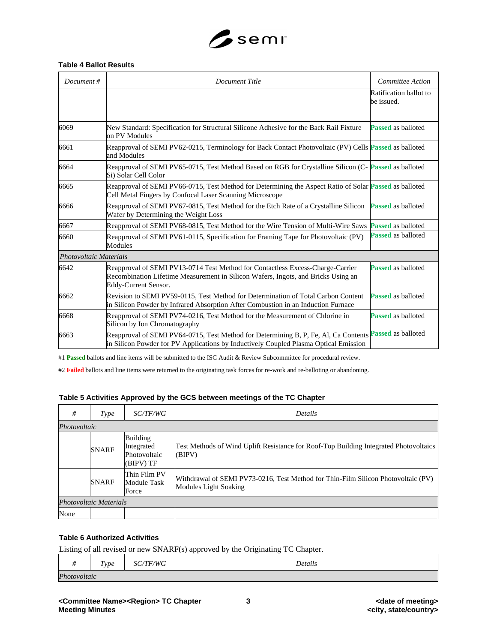

## **Table 4 Ballot Results**

| Document#              | <b>Document Title</b>                                                                                                                                                                          | <b>Committee Action</b>              |
|------------------------|------------------------------------------------------------------------------------------------------------------------------------------------------------------------------------------------|--------------------------------------|
|                        |                                                                                                                                                                                                | Ratification ballot to<br>be issued. |
| 6069                   | New Standard: Specification for Structural Silicone Adhesive for the Back Rail Fixture<br>on PV Modules                                                                                        | <b>Passed</b> as balloted            |
| 6661                   | Reapproval of SEMI PV62-0215, Terminology for Back Contact Photovoltaic (PV) Cells Passed as balloted<br>and Modules                                                                           |                                      |
| 6664                   | Reapproval of SEMI PV65-0715, Test Method Based on RGB for Crystalline Silicon (C-Passed as balloted<br>Si) Solar Cell Color                                                                   |                                      |
| 6665                   | Reapproval of SEMI PV66-0715, Test Method for Determining the Aspect Ratio of Solar Passed as balloted<br>Cell Metal Fingers by Confocal Laser Scanning Microscope                             |                                      |
| 6666                   | Reapproval of SEMI PV67-0815, Test Method for the Etch Rate of a Crystalline Silicon<br>Wafer by Determining the Weight Loss                                                                   | <b>Passed</b> as balloted            |
| 6667                   | Reapproval of SEMI PV68-0815, Test Method for the Wire Tension of Multi-Wire Saws                                                                                                              | <b>Passed</b> as balloted            |
| 6660                   | Reapproval of SEMI PV61-0115, Specification for Framing Tape for Photovoltaic (PV)<br>Modules                                                                                                  | <b>Passed</b> as balloted            |
| Photovoltaic Materials |                                                                                                                                                                                                |                                      |
| 6642                   | Reapproval of SEMI PV13-0714 Test Method for Contactless Excess-Charge-Carrier<br>Recombination Lifetime Measurement in Silicon Wafers, Ingots, and Bricks Using an<br>Eddy-Current Sensor.    | <b>Passed</b> as balloted            |
| 6662                   | Revision to SEMI PV59-0115, Test Method for Determination of Total Carbon Content<br>in Silicon Powder by Infrared Absorption After Combustion in an Induction Furnace                         | <b>Passed</b> as balloted            |
| 6668                   | Reapproval of SEMI PV74-0216, Test Method for the Measurement of Chlorine in<br>Silicon by Ion Chromatography                                                                                  | <b>Passed</b> as balloted            |
| 6663                   | Reapproval of SEMI PV64-0715, Test Method for Determining B, P, Fe, Al, Ca Contents Passed as balloted<br>in Silicon Powder for PV Applications by Inductively Coupled Plasma Optical Emission |                                      |

#1 **Passed** ballots and line items will be submitted to the ISC Audit & Review Subcommittee for procedural review.

#2 **Failed** ballots and line items were returned to the originating task forces for re-work and re-balloting or abandoning.

# **Table 5 Activities Approved by the GCS between meetings of the TC Chapter**

| #            | Type                   | <i>SC/TF/WG</i>                                            | Details                                                                                                    |  |
|--------------|------------------------|------------------------------------------------------------|------------------------------------------------------------------------------------------------------------|--|
| Photovoltaic |                        |                                                            |                                                                                                            |  |
|              | <b>SNARF</b>           | <b>Building</b><br>Integrated<br>Photovoltaic<br>(BIPV) TF | Test Methods of Wind Uplift Resistance for Roof-Top Building Integrated Photovoltaics<br>(BIPV)            |  |
|              | <b>SNARF</b>           | Thin Film PV<br><b>Module Task</b><br>Force                | Withdrawal of SEMI PV73-0216, Test Method for Thin-Film Silicon Photovoltaic (PV)<br>Modules Light Soaking |  |
|              | Photovoltaic Materials |                                                            |                                                                                                            |  |
| None         |                        |                                                            |                                                                                                            |  |

### **Table 6 Authorized Activities**

Listing of all revised or new SNARF(s) approved by the Originating TC Chapter.

| $^{\prime\prime}$ | Type | <b>TF/WG</b><br>$SC_{2}$ | Details |
|-------------------|------|--------------------------|---------|
| Photovoltaic      |      |                          |         |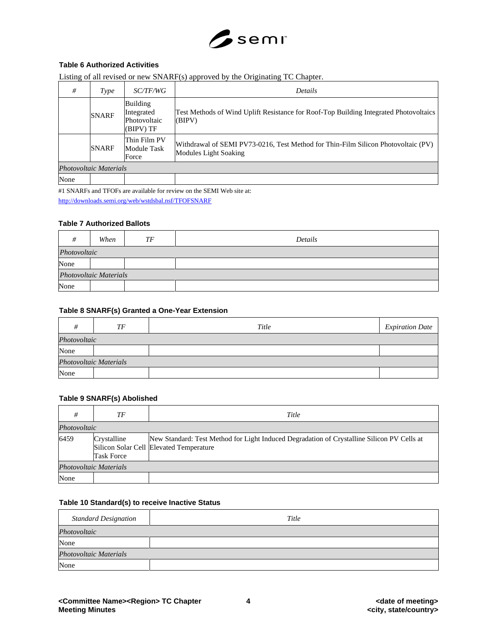

## **Table 6 Authorized Activities**

|      |                        |                                                     | Listing of all revised of new SINARF(s) approved by the Originaling TC Chapter.                            |  |
|------|------------------------|-----------------------------------------------------|------------------------------------------------------------------------------------------------------------|--|
| #    | Type                   | <i>SC/TF/WG</i>                                     | <b>Details</b>                                                                                             |  |
|      | <b>SNARF</b>           | Building<br>Integrated<br>Photovoltaic<br>(BIPV) TF | Test Methods of Wind Uplift Resistance for Roof-Top Building Integrated Photovoltaics<br>(BIPV)            |  |
|      | <b>SNARF</b>           | Thin Film PV<br><b>Module Task</b><br>Force         | Withdrawal of SEMI PV73-0216, Test Method for Thin-Film Silicon Photovoltaic (PV)<br>Modules Light Soaking |  |
|      | Photovoltaic Materials |                                                     |                                                                                                            |  |
| None |                        |                                                     |                                                                                                            |  |

Listing of all revised or new SNARF(s) approved by the Originating TC Chapter.

#1 SNARFs and TFOFs are available for review on the SEMI Web site at:

<http://downloads.semi.org/web/wstdsbal.nsf/TFOFSNARF>

#### **Table 7 Authorized Ballots**

|                        | When         | TF | Details |  |
|------------------------|--------------|----|---------|--|
|                        | Photovoltaic |    |         |  |
| None                   |              |    |         |  |
| Photovoltaic Materials |              |    |         |  |
| None                   |              |    |         |  |

#### **Table 8 SNARF(s) Granted a One-Year Extension**

| #                      | TF           | Title | <b>Expiration Date</b> |  |  |
|------------------------|--------------|-------|------------------------|--|--|
|                        | Photovoltaic |       |                        |  |  |
| None                   |              |       |                        |  |  |
| Photovoltaic Materials |              |       |                        |  |  |
| None                   |              |       |                        |  |  |

## **Table 9 SNARF(s) Abolished**

|              | ТF                               | Title                                                                                                                                 |
|--------------|----------------------------------|---------------------------------------------------------------------------------------------------------------------------------------|
| Photovoltaic |                                  |                                                                                                                                       |
| 6459         | Crystalline<br><b>Task Force</b> | New Standard: Test Method for Light Induced Degradation of Crystalline Silicon PV Cells at<br>Silicon Solar Cell Elevated Temperature |
|              | Photovoltaic Materials           |                                                                                                                                       |
| None         |                                  |                                                                                                                                       |

#### **Table 10 Standard(s) to receive Inactive Status**

| <b>Standard Designation</b> | Title |
|-----------------------------|-------|
| Photovoltaic                |       |
| None                        |       |
| Photovoltaic Materials      |       |
| None                        |       |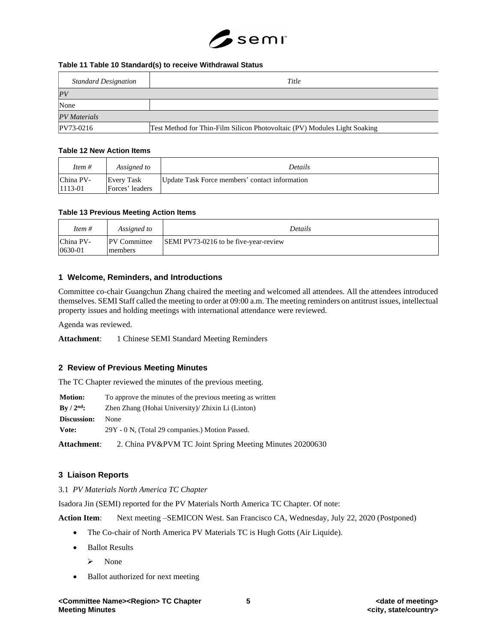

#### **Table 11 Table 10 Standard(s) to receive Withdrawal Status**

| <b>Standard Designation</b> | Title                                                                     |
|-----------------------------|---------------------------------------------------------------------------|
| PV                          |                                                                           |
| None                        |                                                                           |
| <b>PV</b> Materials         |                                                                           |
| PV73-0216                   | Test Method for Thin-Film Silicon Photovoltaic (PV) Modules Light Soaking |

#### **Table 12 New Action Items**

| Item #               | Assigned to                   | Details                                        |
|----------------------|-------------------------------|------------------------------------------------|
| China PV-<br>1113-01 | Every Task<br>Forces' leaders | Update Task Force members' contact information |

### **Table 13 Previous Meeting Action Items**

| Item $#$             | Assigned to                    | Details                               |
|----------------------|--------------------------------|---------------------------------------|
| China PV-<br>0630-01 | <b>PV</b> Committee<br>members | SEMI PV73-0216 to be five-year-review |

# **1 Welcome, Reminders, and Introductions**

Committee co-chair Guangchun Zhang chaired the meeting and welcomed all attendees. All the attendees introduced themselves. SEMI Staff called the meeting to order at 09:00 a.m. The meeting reminders on antitrust issues, intellectual property issues and holding meetings with international attendance were reviewed.

Agenda was reviewed.

Attachment: 1 Chinese SEMI Standard Meeting Reminders

## **2 Review of Previous Meeting Minutes**

The TC Chapter reviewed the minutes of the previous meeting.

| <b>Motion:</b>              | To approve the minutes of the previous meeting as written |
|-----------------------------|-----------------------------------------------------------|
| $\rm{Bv}$ / $\rm{2^{nd}}$ : | Zhen Zhang (Hohai University)/ Zhixin Li (Linton)         |
| Discussion:                 | None                                                      |
| Vote:                       | 29Y - 0 N, (Total 29 companies.) Motion Passed.           |
| Attachment:                 | 2. China PV&PVM TC Joint Spring Meeting Minutes 20200630  |

## **3 Liaison Reports**

3.1 *PV Materials North America TC Chapter*

Isadora Jin (SEMI) reported for the PV Materials North America TC Chapter. Of note:

**Action Item**: Next meeting –SEMICON West. San Francisco CA, Wednesday, July 22, 2020 (Postponed)

- The Co-chair of North America PV Materials TC is Hugh Gotts (Air Liquide).
- Ballot Results
	- ➢ None
- Ballot authorized for next meeting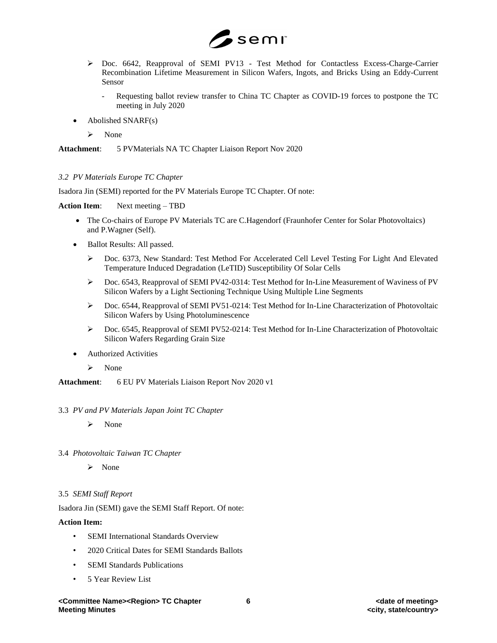

- ➢ Doc. 6642, Reapproval of SEMI PV13 Test Method for Contactless Excess-Charge-Carrier Recombination Lifetime Measurement in Silicon Wafers, Ingots, and Bricks Using an Eddy-Current Sensor
	- Requesting ballot review transfer to China TC Chapter as COVID-19 forces to postpone the TC meeting in July 2020
- Abolished SNARF(s)
	- ➢ None

**Attachment**: 5 PVMaterials NA TC Chapter Liaison Report Nov 2020

### *3.2 PV Materials Europe TC Chapter*

Isadora Jin (SEMI) reported for the PV Materials Europe TC Chapter. Of note:

**Action Item**: Next meeting – TBD

- The Co-chairs of Europe PV Materials TC are C.Hagendorf (Fraunhofer Center for Solar Photovoltaics) and P.Wagner (Self).
- Ballot Results: All passed.
	- ➢ Doc. 6373, New Standard: Test Method For Accelerated Cell Level Testing For Light And Elevated Temperature Induced Degradation (LeTID) Susceptibility Of Solar Cells
	- ➢ Doc. 6543, Reapproval of SEMI PV42-0314: Test Method for In-Line Measurement of Waviness of PV Silicon Wafers by a Light Sectioning Technique Using Multiple Line Segments
	- ➢ Doc. 6544, Reapproval of SEMI PV51-0214: Test Method for In-Line Characterization of Photovoltaic Silicon Wafers by Using Photoluminescence
	- ➢ Doc. 6545, Reapproval of SEMI PV52-0214: Test Method for In-Line Characterization of Photovoltaic Silicon Wafers Regarding Grain Size
- Authorized Activities
	- ➢ None

**Attachment**: 6 EU PV Materials Liaison Report Nov 2020 v1

#### 3.3 *PV and PV Materials Japan Joint TC Chapter*

- ➢ None
- 3.4 *Photovoltaic Taiwan TC Chapter*
	- ➢ None

#### 3.5 *SEMI Staff Report*

Isadora Jin (SEMI) gave the SEMI Staff Report. Of note:

#### **Action Item:**

- **SEMI** International Standards Overview
- 2020 Critical Dates for SEMI Standards Ballots
- SEMI Standards Publications
- 5 Year Review List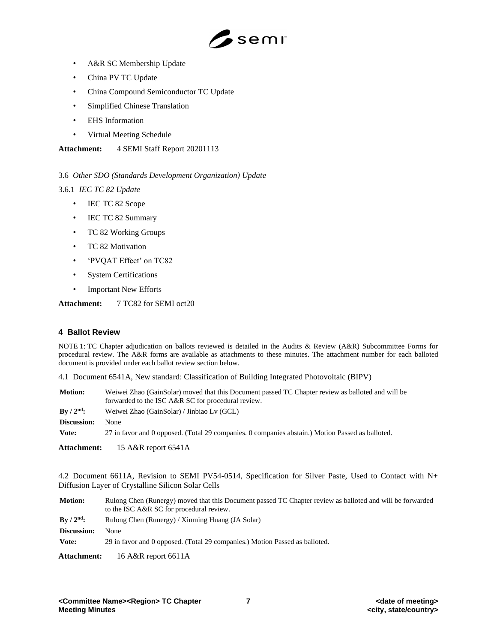

- A&R SC Membership Update
- China PV TC Update
- China Compound Semiconductor TC Update
- Simplified Chinese Translation
- EHS Information
- Virtual Meeting Schedule

**Attachment:** 4 SEMI Staff Report 20201113

# 3.6 *Other SDO (Standards Development Organization) Update*

3.6.1 *IEC TC 82 Update*

- IEC TC 82 Scope
- IEC TC 82 Summary
- TC 82 Working Groups
- TC 82 Motivation
- 'PVQAT Effect' on TC82
- System Certifications
- Important New Efforts

## **Attachment:** 7 TC82 for SEMI oct20

#### **4 Ballot Review**

NOTE 1: TC Chapter adjudication on ballots reviewed is detailed in the Audits & Review (A&R) Subcommittee Forms for procedural review. The A&R forms are available as attachments to these minutes. The attachment number for each balloted document is provided under each ballot review section below.

4.1 Document 6541A, New standard: Classification of Building Integrated Photovoltaic (BIPV)

| <b>Motion:</b>                 | Weiwei Zhao (GainSolar) moved that this Document passed TC Chapter review as balloted and will be<br>forwarded to the ISC A&R SC for procedural review. |
|--------------------------------|---------------------------------------------------------------------------------------------------------------------------------------------------------|
| $\rm\,By\,$ / $\rm 2^{nd}\rm:$ | Weiwei Zhao (GainSolar) / Jinbiao Lv (GCL)                                                                                                              |
| Discussion:                    | None                                                                                                                                                    |
| Vote:                          | 27 in favor and 0 opposed. (Total 29 companies. 0 companies abstain.) Motion Passed as balloted.                                                        |

**Attachment:** 15 A&R report 6541A

4.2 Document 6611A, Revision to SEMI PV54-0514, Specification for Silver Paste, Used to Contact with N+ Diffusion Layer of Crystalline Silicon Solar Cells

**Motion:** Rulong Chen (Runergy) moved that this Document passed TC Chapter review as balloted and will be forwarded to the ISC A&R SC for procedural review. **By / 2nd:** Rulong Chen (Runergy) / Xinming Huang (JA Solar) **Discussion:** None **Vote:** 29 in favor and 0 opposed. (Total 29 companies.) Motion Passed as balloted. **Attachment:** 16 A&R report 6611A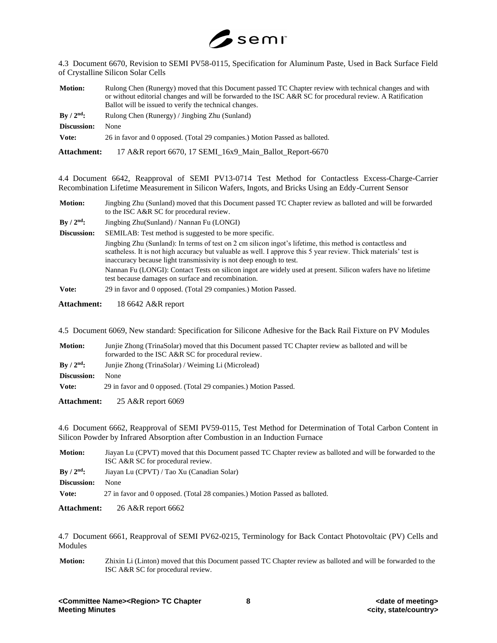

4.3 Document 6670, Revision to SEMI PV58-0115, Specification for Aluminum Paste, Used in Back Surface Field of Crystalline Silicon Solar Cells

| <b>Motion:</b>     | Rulong Chen (Runergy) moved that this Document passed TC Chapter review with technical changes and with    |
|--------------------|------------------------------------------------------------------------------------------------------------|
|                    | or without editorial changes and will be forwarded to the ISC A&R SC for procedural review. A Ratification |
|                    | Ballot will be issued to verify the technical changes.                                                     |
| $\rm{By}/2^{nd}$ : | Rulong Chen (Runergy) / Jingbing Zhu (Sunland)                                                             |
| Discussion:        | None                                                                                                       |
| Vote:              | 26 in favor and 0 opposed. (Total 29 companies.) Motion Passed as balloted.                                |

**Attachment:** 17 A&R report 6670, 17 SEMI\_16x9\_Main\_Ballot\_Report-6670

4.4 Document 6642, Reapproval of SEMI PV13-0714 Test Method for Contactless Excess-Charge-Carrier Recombination Lifetime Measurement in Silicon Wafers, Ingots, and Bricks Using an Eddy-Current Sensor

| <b>Motion:</b> | Jingbing Zhu (Sunland) moved that this Document passed TC Chapter review as balloted and will be forwarded<br>to the ISC A&R SC for procedural review.                                                                                                                                                                                                                                                                                                                      |
|----------------|-----------------------------------------------------------------------------------------------------------------------------------------------------------------------------------------------------------------------------------------------------------------------------------------------------------------------------------------------------------------------------------------------------------------------------------------------------------------------------|
| By $/ 2nd$ :   | Jingbing Zhu(Sunland) / Nannan Fu (LONGI)                                                                                                                                                                                                                                                                                                                                                                                                                                   |
| Discussion:    | SEMILAB: Test method is suggested to be more specific.                                                                                                                                                                                                                                                                                                                                                                                                                      |
|                | Jingbing Zhu (Sunland): In terms of test on 2 cm silicon ingot's lifetime, this method is contactless and<br>scatheless. It is not high accuracy but valuable as well. I approve this 5 year review. Thick materials' test is<br>inaccuracy because light transmissivity is not deep enough to test.<br>Nannan Fu (LONGI): Contact Tests on silicon ingot are widely used at present. Silicon wafers have no lifetime<br>test because damages on surface and recombination. |
| Vote:          | 29 in favor and 0 opposed. (Total 29 companies.) Motion Passed.                                                                                                                                                                                                                                                                                                                                                                                                             |

**Attachment:** 18 6642 A&R report

4.5 Document 6069, New standard: Specification for Silicone Adhesive for the Back Rail Fixture on PV Modules

| <b>Motion:</b>             | Junije Zhong (TrinaSolar) moved that this Document passed TC Chapter review as balloted and will be<br>forwarded to the ISC A&R SC for procedural review. |
|----------------------------|-----------------------------------------------------------------------------------------------------------------------------------------------------------|
| $\rm\,Bv$ / $\rm 2^{nd}$ : | Junije Zhong (TrinaSolar) / Weiming Li (Microlead)                                                                                                        |
| Discussion:                | <b>None</b>                                                                                                                                               |
| Vote:                      | 29 in favor and 0 opposed. (Total 29 companies.) Motion Passed.                                                                                           |

**Attachment:** 25 A&R report 6069

4.6 Document 6662, Reapproval of SEMI PV59-0115, Test Method for Determination of Total Carbon Content in Silicon Powder by Infrared Absorption after Combustion in an Induction Furnace

| <b>Motion:</b>              | Jiayan Lu (CPVT) moved that this Document passed TC Chapter review as balloted and will be forwarded to the<br>ISC A&R SC for procedural review. |
|-----------------------------|--------------------------------------------------------------------------------------------------------------------------------------------------|
| $\rm{Bv}$ / $\rm{2^{nd}}$ : | Jiayan Lu (CPVT) / Tao Xu (Canadian Solar)                                                                                                       |
| Discussion:                 | <b>None</b>                                                                                                                                      |
| Vote:                       | 27 in favor and 0 opposed. (Total 28 companies.) Motion Passed as balloted.                                                                      |
|                             |                                                                                                                                                  |

**Attachment:** 26 A&R report 6662

4.7 Document 6661, Reapproval of SEMI PV62-0215, Terminology for Back Contact Photovoltaic (PV) Cells and Modules

**Motion:** Zhixin Li (Linton) moved that this Document passed TC Chapter review as balloted and will be forwarded to the ISC A&R SC for procedural review.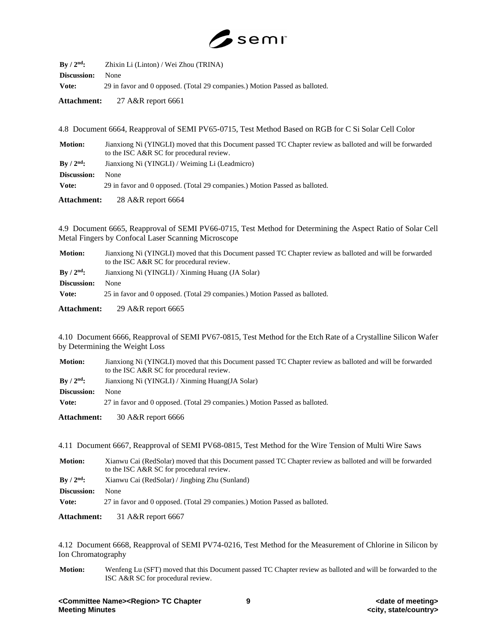

| $\rm{Bv}$ / $\rm{2^{nd}}$ : | Zhixin Li (Linton) / Wei Zhou (TRINA)                                       |
|-----------------------------|-----------------------------------------------------------------------------|
| <b>Discussion:</b>          | <b>None</b>                                                                 |
| Vote:                       | 29 in favor and 0 opposed. (Total 29 companies.) Motion Passed as balloted. |

**Attachment:** 27 A&R report 6661

4.8 Document 6664, Reapproval of SEMI PV65-0715, Test Method Based on RGB for C Si Solar Cell Color

| <b>Motion:</b>              | Jianxiong Ni (YINGLI) moved that this Document passed TC Chapter review as balloted and will be forwarded<br>to the ISC A&R SC for procedural review. |
|-----------------------------|-------------------------------------------------------------------------------------------------------------------------------------------------------|
| $\rm{Bv}$ / $\rm{2^{nd}}$ : | Jianxiong Ni (YINGLI) / Weiming Li (Leadmicro)                                                                                                        |
| Discussion:                 | None                                                                                                                                                  |
| Vote:                       | 29 in favor and 0 opposed. (Total 29 companies.) Motion Passed as balloted.                                                                           |
| Attachment:                 | 28 A&R report $6664$                                                                                                                                  |

4.9 Document 6665, Reapproval of SEMI PV66-0715, Test Method for Determining the Aspect Ratio of Solar Cell Metal Fingers by Confocal Laser Scanning Microscope

| <b>Motion:</b>     | Jianxiong Ni (YINGLI) moved that this Document passed TC Chapter review as balloted and will be forwarded<br>to the ISC A&R SC for procedural review. |  |
|--------------------|-------------------------------------------------------------------------------------------------------------------------------------------------------|--|
| $\rm{By}/2^{nd}$ : | Jianxiong Ni (YINGLI) / Xinming Huang (JA Solar)                                                                                                      |  |
| Discussion:        | None                                                                                                                                                  |  |
| Vote:              | 25 in favor and 0 opposed. (Total 29 companies.) Motion Passed as balloted.                                                                           |  |

**Attachment:** 29 A&R report 6665

4.10 Document 6666, Reapproval of SEMI PV67-0815, Test Method for the Etch Rate of a Crystalline Silicon Wafer by Determining the Weight Loss

| <b>Motion:</b>     | Jianxiong Ni (YINGLI) moved that this Document passed TC Chapter review as balloted and will be forwarded<br>to the ISC A&R SC for procedural review. |  |
|--------------------|-------------------------------------------------------------------------------------------------------------------------------------------------------|--|
| $\rm{By}/2^{nd}$ : | Jianxiong Ni (YINGLI) / Xinming Huang(JA Solar)                                                                                                       |  |
| Discussion:        | <b>None</b>                                                                                                                                           |  |
| Vote:              | 27 in favor and 0 opposed. (Total 29 companies.) Motion Passed as balloted.                                                                           |  |

**Attachment:** 30 A&R report 6666

4.11 Document 6667, Reapproval of SEMI PV68-0815, Test Method for the Wire Tension of Multi Wire Saws

| <b>Motion:</b>           | Xianwu Cai (RedSolar) moved that this Document passed TC Chapter review as balloted and will be forwarded<br>to the ISC A&R SC for procedural review. |  |
|--------------------------|-------------------------------------------------------------------------------------------------------------------------------------------------------|--|
| $\rm\,By\,/\,2^{nd}\rm:$ | Xianwu Cai (RedSolar) / Jingbing Zhu (Sunland)                                                                                                        |  |
| Discussion:              | <b>None</b>                                                                                                                                           |  |
| Vote:                    | 27 in favor and 0 opposed. (Total 29 companies.) Motion Passed as balloted.                                                                           |  |

**Attachment:** 31 A&R report 6667

4.12 Document 6668, Reapproval of SEMI PV74-0216, Test Method for the Measurement of Chlorine in Silicon by Ion Chromatography

**Motion:** Wenfeng Lu (SFT) moved that this Document passed TC Chapter review as balloted and will be forwarded to the ISC A&R SC for procedural review.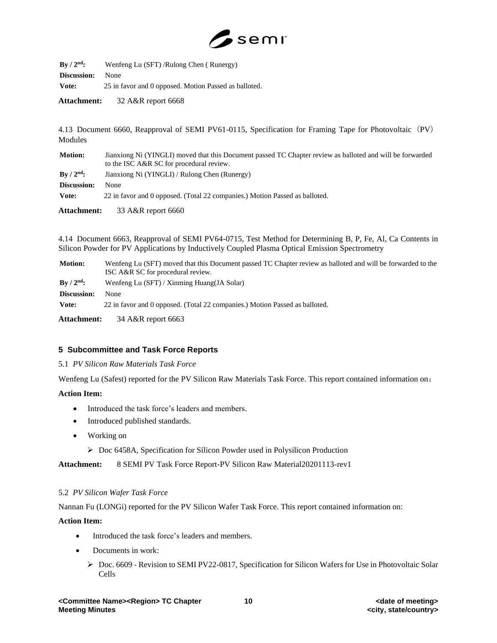

| $By / 2nd$ :       | Wenfeng Lu (SFT)/Rulong Chen (Runergy)                |  |
|--------------------|-------------------------------------------------------|--|
| <b>Discussion:</b> | <b>None</b>                                           |  |
| Vote:              | 25 in favor and 0 opposed. Motion Passed as balloted. |  |

**Attachment:** 32 A&R report 6668

4.13 Document 6660, Reapproval of SEMI PV61-0115, Specification for Framing Tape for Photovoltaic(PV) Modules

| <b>Motion:</b>     | Jianxiong Ni (YINGLI) moved that this Document passed TC Chapter review as balloted and will be forwarded<br>to the ISC A&R SC for procedural review. |  |
|--------------------|-------------------------------------------------------------------------------------------------------------------------------------------------------|--|
| $\rm{By}/2^{nd}$ : | Jianxiong Ni (YINGLI) / Rulong Chen (Runergy)                                                                                                         |  |
| Discussion:        | None                                                                                                                                                  |  |
| Vote:              | 22 in favor and 0 opposed. (Total 22 companies.) Motion Passed as balloted.                                                                           |  |
| <b>Attachment:</b> | 33 A&R report $6660$                                                                                                                                  |  |

4.14 Document 6663, Reapproval of SEMI PV64-0715, Test Method for Determining B, P, Fe, Al, Ca Contents in Silicon Powder for PV Applications by Inductively Coupled Plasma Optical Emission Spectrometry

| <b>Motion:</b>     | Wenfeng Lu (SFT) moved that this Document passed TC Chapter review as balloted and will be forwarded to the<br>ISC A&R SC for procedural review. |  |
|--------------------|--------------------------------------------------------------------------------------------------------------------------------------------------|--|
| $\rm{By}/2^{nd}$ : | Wenfeng Lu (SFT) / Xinming Huang(JA Solar)                                                                                                       |  |
| Discussion:        | None                                                                                                                                             |  |
| Vote:              | 22 in favor and 0 opposed. (Total 22 companies.) Motion Passed as balloted.                                                                      |  |
| Attachment:        | 34 A&R report 6663                                                                                                                               |  |

## **5 Subcommittee and Task Force Reports**

#### 5.1 *PV Silicon Raw Materials Task Force*

Wenfeng Lu (Safest) reported for the PV Silicon Raw Materials Task Force. This report contained information on:

#### **Action Item:**

- Introduced the task force's leaders and members.
- Introduced published standards.
- Working on
	- ➢ Doc 6458A, Specification for Silicon Powder used in Polysilicon Production

**Attachment:** 8 SEMI PV Task Force Report-PV Silicon Raw Material20201113-rev1

#### 5.2 *PV Silicon Wafer Task Force*

Nannan Fu (LONGi) reported for the PV Silicon Wafer Task Force. This report contained information on:

#### **Action Item:**

- Introduced the task force's leaders and members.
- Documents in work:
	- ➢ Doc. 6609 Revision to SEMI PV22-0817, Specification for Silicon Wafers for Use in Photovoltaic Solar Cells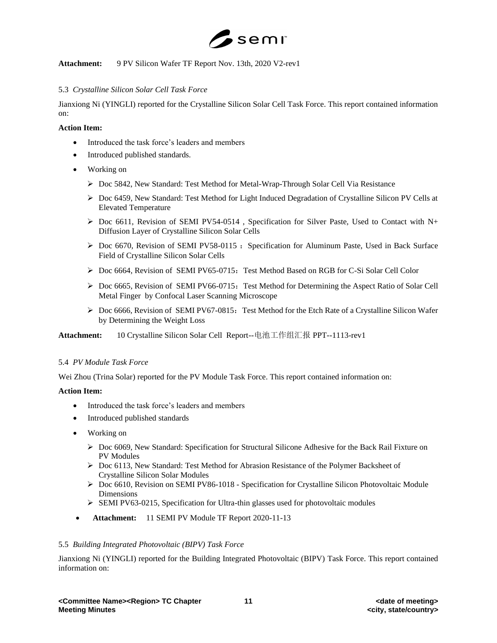

**Attachment:** 9 PV Silicon Wafer TF Report Nov. 13th, 2020 V2-rev1

## 5.3 *Crystalline Silicon Solar Cell Task Force*

Jianxiong Ni (YINGLI) reported for the Crystalline Silicon Solar Cell Task Force. This report contained information on:

# **Action Item:**

- Introduced the task force's leaders and members
- Introduced published standards.
- Working on
	- ➢ Doc 5842, New Standard: Test Method for Metal-Wrap-Through Solar Cell Via Resistance
	- ➢ Doc 6459, New Standard: Test Method for Light Induced Degradation of Crystalline Silicon PV Cells at Elevated Temperature
	- ➢ Doc 6611, Revision of SEMI PV54-0514 , Specification for Silver Paste, Used to Contact with N+ Diffusion Layer of Crystalline Silicon Solar Cells
	- ▶ Doc 6670, Revision of SEMI PV58-0115 : Specification for Aluminum Paste, Used in Back Surface Field of Crystalline Silicon Solar Cells
	- ➢ Doc 6664, Revision of SEMI PV65-0715:Test Method Based on RGB for C-Si Solar Cell Color
	- ➢ Doc 6665, Revision of SEMI PV66-0715:Test Method for Determining the Aspect Ratio of Solar Cell Metal Finger by Confocal Laser Scanning Microscope
	- $\triangleright$  Doc 6666, Revision of SEMI PV67-0815: Test Method for the Etch Rate of a Crystalline Silicon Wafer by Determining the Weight Loss

**Attachment:** 10 Crystalline Silicon Solar Cell Report--电池工作组汇报 PPT--1113-rev1

#### 5.4 *PV Module Task Force*

Wei Zhou (Trina Solar) reported for the PV Module Task Force. This report contained information on:

## **Action Item:**

- Introduced the task force's leaders and members
- Introduced published standards
- Working on
	- ➢ Doc 6069, New Standard: Specification for Structural Silicone Adhesive for the Back Rail Fixture on PV Modules
	- ➢ Doc 6113, New Standard: Test Method for Abrasion Resistance of the Polymer Backsheet of Crystalline Silicon Solar Modules
	- ➢ Doc 6610, Revision on SEMI PV86-1018 Specification for Crystalline Silicon Photovoltaic Module Dimensions
	- ➢ SEMI PV63-0215, Specification for Ultra-thin glasses used for photovoltaic modules
- **Attachment:** 11 SEMI PV Module TF Report 2020-11-13

# 5.5 *Building Integrated Photovoltaic (BIPV) Task Force*

Jianxiong Ni (YINGLI) reported for the Building Integrated Photovoltaic (BIPV) Task Force. This report contained information on: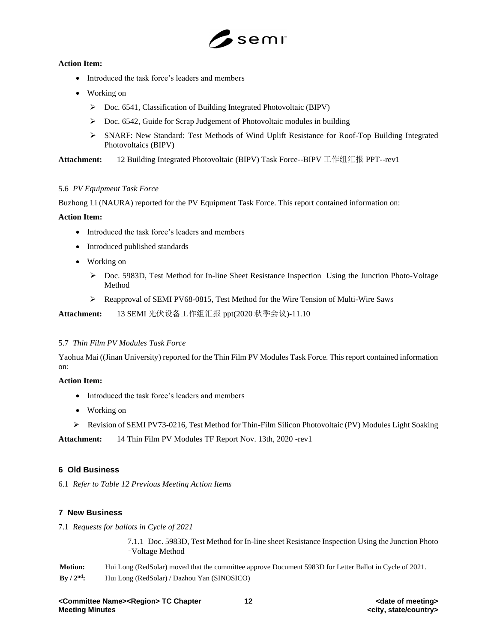

## **Action Item:**

- Introduced the task force's leaders and members
- Working on
	- ➢ Doc. 6541, Classification of Building Integrated Photovoltaic (BIPV)
	- ➢ Doc. 6542, Guide for Scrap Judgement of Photovoltaic modules in building
	- ➢ SNARF: New Standard: Test Methods of Wind Uplift Resistance for Roof-Top Building Integrated Photovoltaics (BIPV)

**Attachment:** 12 Building Integrated Photovoltaic (BIPV) Task Force--BIPV 工作组汇报 PPT--rev1

## 5.6 *PV Equipment Task Force*

Buzhong Li (NAURA) reported for the PV Equipment Task Force. This report contained information on:

### **Action Item:**

- Introduced the task force's leaders and members
- Introduced published standards
- Working on
	- ➢ Doc. 5983D, Test Method for In-line Sheet Resistance Inspection Using the Junction Photo-Voltage Method
	- ➢ Reapproval of SEMI PV68-0815, Test Method for the Wire Tension of Multi-Wire Saws

**Attachment:** 13 SEMI 光伏设备工作组汇报 ppt(2020 秋季会议)-11.10

## 5.7 *Thin Film PV Modules Task Force*

Yaohua Mai ((Jinan University) reported for the Thin Film PV Modules Task Force. This report contained information on:

## **Action Item:**

- Introduced the task force's leaders and members
- Working on
- ➢ Revision of SEMI PV73-0216, Test Method for Thin-Film Silicon Photovoltaic (PV) Modules Light Soaking

**Attachment:** 14 Thin Film PV Modules TF Report Nov. 13th, 2020 -rev1

## **6 Old Business**

6.1 *Refer to Table 12 Previous Meeting Action Items*

## **7 New Business**

7.1 *Requests for ballots in Cycle of 2021*

7.1.1 Doc. 5983D, Test Method for In-line sheet Resistance Inspection Using the Junction Photo ‑Voltage Method

| <b>Motion:</b> | Hui Long (RedSolar) moved that the committee approve Document 5983D for Letter Ballot in Cycle of 2021. |
|----------------|---------------------------------------------------------------------------------------------------------|
| By $/ 2nd$ :   | Hui Long (RedSolar) / Dazhou Yan (SINOSICO)                                                             |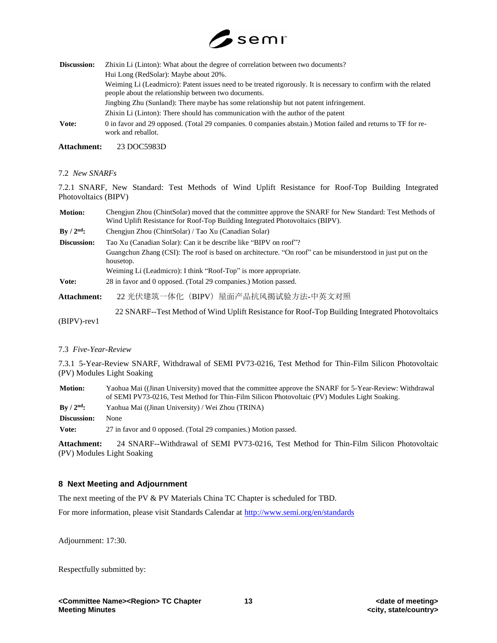

| Discussion: | Zhixin Li (Linton): What about the degree of correlation between two documents?                                                                                          |
|-------------|--------------------------------------------------------------------------------------------------------------------------------------------------------------------------|
|             | Hui Long (RedSolar): Maybe about 20%.                                                                                                                                    |
|             | Weiming Li (Leadmicro): Patent issues need to be treated rigorously. It is necessary to confirm with the related<br>people about the relationship between two documents. |
|             | Jingbing Zhu (Sunland): There maybe has some relationship but not patent infringement.                                                                                   |
|             | Zhixin Li (Linton): There should has communication with the author of the patent                                                                                         |
| Vote:       | 0 in favor and 29 opposed. (Total 29 companies. 0 companies abstain.) Motion failed and returns to TF for re-<br>work and reballot.                                      |

**Attachment:** 23 DOC5983D

#### 7.2 *New SNARFs*

7.2.1 SNARF, New Standard: Test Methods of Wind Uplift Resistance for Roof-Top Building Integrated Photovoltaics (BIPV)

| <b>Motion:</b>     | Chengiun Zhou (ChintSolar) moved that the committee approve the SNARF for New Standard: Test Methods of<br>Wind Uplift Resistance for Roof-Top Building Integrated Photovoltaics (BIPV). |  |
|--------------------|------------------------------------------------------------------------------------------------------------------------------------------------------------------------------------------|--|
| By $/ 2nd$ :       | Chengiun Zhou (ChintSolar) / Tao Xu (Canadian Solar)                                                                                                                                     |  |
| Discussion:        | Tao Xu (Canadian Solar): Can it be describe like "BIPV on roof"?                                                                                                                         |  |
|                    | Guangchun Zhang (CSI): The roof is based on architecture. "On roof" can be misunderstood in just put on the<br>housetop.                                                                 |  |
|                    | Weiming Li (Leadmicro): I think "Roof-Top" is more appropriate.                                                                                                                          |  |
| Vote:              | 28 in favor and 0 opposed. (Total 29 companies.) Motion passed.                                                                                                                          |  |
| <b>Attachment:</b> | 22 光伏建筑一体化 (BIPV) 屋面产品抗风揭试验方法-中英文对照                                                                                                                                                      |  |
| $(BIPV)$ -rev1     | 22 SNARF--Test Method of Wind Uplift Resistance for Roof-Top Building Integrated Photovoltaics                                                                                           |  |

#### 7.3 *Five-Year-Review*

7.3.1 5-Year-Review SNARF, Withdrawal of SEMI PV73-0216, Test Method for Thin-Film Silicon Photovoltaic (PV) Modules Light Soaking

| <b>Motion:</b>     | Yaohua Mai ((Jinan University) moved that the committee approve the SNARF for 5-Year-Review: Withdrawal<br>of SEMI PV73-0216, Test Method for Thin-Film Silicon Photovoltaic (PV) Modules Light Soaking. |  |
|--------------------|----------------------------------------------------------------------------------------------------------------------------------------------------------------------------------------------------------|--|
| $\rm{By}/2^{nd}$ : | Yaohua Mai ((Jinan University) / Wei Zhou (TRINA)                                                                                                                                                        |  |
| Discussion:        | None                                                                                                                                                                                                     |  |
| Vote:              | 27 in favor and 0 opposed. (Total 29 companies.) Motion passed.                                                                                                                                          |  |

**Attachment:** 24 SNARF--Withdrawal of SEMI PV73-0216, Test Method for Thin-Film Silicon Photovoltaic (PV) Modules Light Soaking

#### **8 Next Meeting and Adjournment**

The next meeting of the PV & PV Materials China TC Chapter is scheduled for TBD.

For more information, please visit Standards Calendar at<http://www.semi.org/en/standards>

Adjournment: 17:30.

Respectfully submitted by: